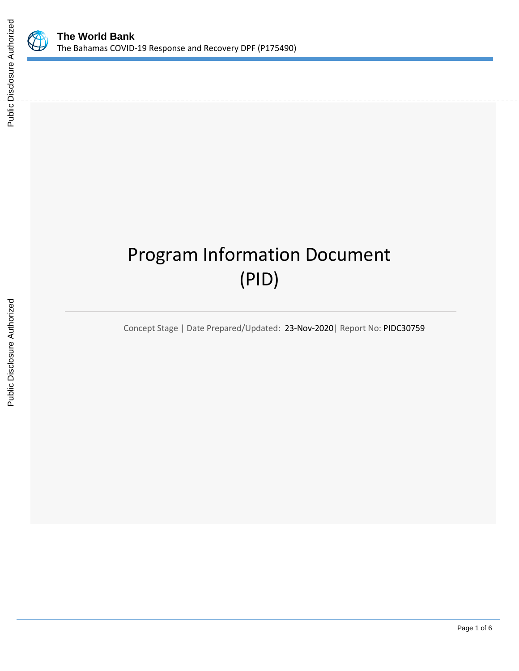

# Program Information Document (PID)

Concept Stage | Date Prepared/Updated: 23-Nov-2020| Report No: PIDC30759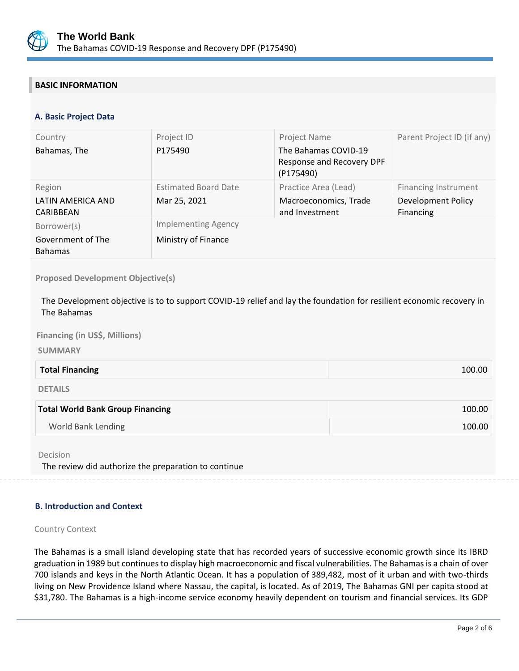

# **BASIC INFORMATION**

# **A. Basic Project Data**

| Country                             | Project ID                  | Project Name                                                   | Parent Project ID (if any)      |
|-------------------------------------|-----------------------------|----------------------------------------------------------------|---------------------------------|
| Bahamas, The                        | P175490                     | The Bahamas COVID-19<br>Response and Recovery DPF<br>(P175490) |                                 |
| Region                              | <b>Estimated Board Date</b> | Practice Area (Lead)                                           | <b>Financing Instrument</b>     |
| LATIN AMERICA AND<br>CARIBBEAN      | Mar 25, 2021                | Macroeconomics, Trade<br>and Investment                        | Development Policy<br>Financing |
| Borrower(s)                         | <b>Implementing Agency</b>  |                                                                |                                 |
| Government of The<br><b>Bahamas</b> | Ministry of Finance         |                                                                |                                 |

**Proposed Development Objective(s)** 

The Development objective is to to support COVID-19 relief and lay the foundation for resilient economic recovery in The Bahamas

**Financing (in US\$, Millions)** 

**SUMMARY**

| <b>Total Financing</b> | 100.00 |
|------------------------|--------|
|                        |        |

DETAILS

| <b>Total World Bank Group Financing</b> | 100.00 |
|-----------------------------------------|--------|
| World Bank Lending                      | 100.00 |

Decision

The review did authorize the preparation to continue

#### **B. Introduction and Context**

#### Country Context

The Bahamas is a small island developing state that has recorded years of successive economic growth since its IBRD graduation in 1989 but continues to display high macroeconomic and fiscal vulnerabilities. The Bahamas is a chain of over 700 islands and keys in the North Atlantic Ocean. It has a population of 389,482, most of it urban and with two-thirds living on New Providence Island where Nassau, the capital, is located. As of 2019, The Bahamas GNI per capita stood at \$31,780. The Bahamas is a high-income service economy heavily dependent on tourism and financial services. Its GDP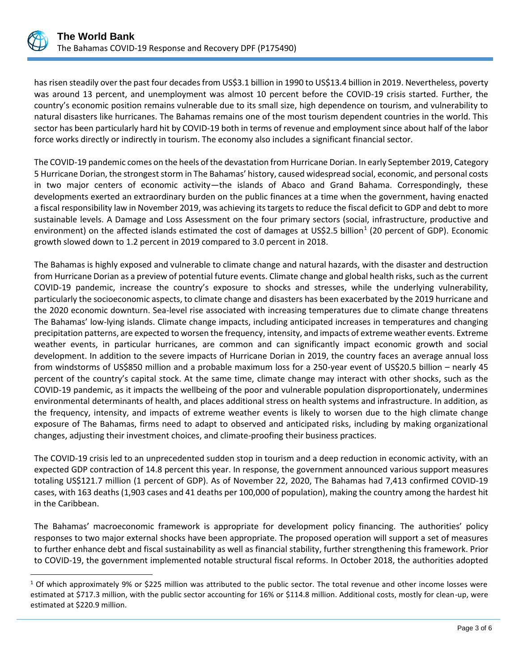

has risen steadily over the past four decades from US\$3.1 billion in 1990 to US\$13.4 billion in 2019. Nevertheless, poverty was around 13 percent, and unemployment was almost 10 percent before the COVID-19 crisis started. Further, the country's economic position remains vulnerable due to its small size, high dependence on tourism, and vulnerability to natural disasters like hurricanes. The Bahamas remains one of the most tourism dependent countries in the world. This sector has been particularly hard hit by COVID-19 both in terms of revenue and employment since about half of the labor force works directly or indirectly in tourism. The economy also includes a significant financial sector.

The COVID-19 pandemic comes on the heels of the devastation from Hurricane Dorian. In early September 2019, Category 5 Hurricane Dorian, the strongest storm in The Bahamas' history, caused widespread social, economic, and personal costs in two major centers of economic activity—the islands of Abaco and Grand Bahama. Correspondingly, these developments exerted an extraordinary burden on the public finances at a time when the government, having enacted a fiscal responsibility law in November 2019, was achieving its targets to reduce the fiscal deficit to GDP and debt to more sustainable levels. A Damage and Loss Assessment on the four primary sectors (social, infrastructure, productive and environment) on the affected islands estimated the cost of damages at US\$2.5 billion<sup>1</sup> (20 percent of GDP). Economic growth slowed down to 1.2 percent in 2019 compared to 3.0 percent in 2018.

The Bahamas is highly exposed and vulnerable to climate change and natural hazards, with the disaster and destruction from Hurricane Dorian as a preview of potential future events. Climate change and global health risks, such as the current COVID-19 pandemic, increase the country's exposure to shocks and stresses, while the underlying vulnerability, particularly the socioeconomic aspects, to climate change and disasters has been exacerbated by the 2019 hurricane and the 2020 economic downturn. Sea-level rise associated with increasing temperatures due to climate change threatens The Bahamas' low-lying islands. Climate change impacts, including anticipated increases in temperatures and changing precipitation patterns, are expected to worsen the frequency, intensity, and impacts of extreme weather events. Extreme weather events, in particular hurricanes, are common and can significantly impact economic growth and social development. In addition to the severe impacts of Hurricane Dorian in 2019, the country faces an average annual loss from windstorms of US\$850 million and a probable maximum loss for a 250-year event of US\$20.5 billion – nearly 45 percent of the country's capital stock. At the same time, climate change may interact with other shocks, such as the COVID-19 pandemic, as it impacts the wellbeing of the poor and vulnerable population disproportionately, undermines environmental determinants of health, and places additional stress on health systems and infrastructure. In addition, as the frequency, intensity, and impacts of extreme weather events is likely to worsen due to the high climate change exposure of The Bahamas, firms need to adapt to observed and anticipated risks, including by making organizational changes, adjusting their investment choices, and climate-proofing their business practices.

The COVID-19 crisis led to an unprecedented sudden stop in tourism and a deep reduction in economic activity, with an expected GDP contraction of 14.8 percent this year. In response, the government announced various support measures totaling US\$121.7 million (1 percent of GDP). As of November 22, 2020, The Bahamas had 7,413 confirmed COVID-19 cases, with 163 deaths (1,903 cases and 41 deaths per 100,000 of population), making the country among the hardest hit in the Caribbean.

The Bahamas' macroeconomic framework is appropriate for development policy financing. The authorities' policy responses to two major external shocks have been appropriate. The proposed operation will support a set of measures to further enhance debt and fiscal sustainability as well as financial stability, further strengthening this framework. Prior to COVID-19, the government implemented notable structural fiscal reforms. In October 2018, the authorities adopted

 $1$  Of which approximately 9% or \$225 million was attributed to the public sector. The total revenue and other income losses were estimated at \$717.3 million, with the public sector accounting for 16% or \$114.8 million. Additional costs, mostly for clean-up, were estimated at \$220.9 million.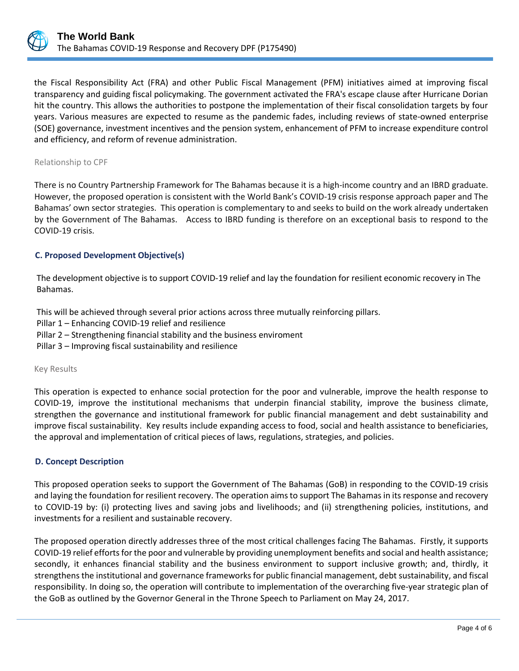

the Fiscal Responsibility Act (FRA) and other Public Fiscal Management (PFM) initiatives aimed at improving fiscal transparency and guiding fiscal policymaking. The government activated the FRA's escape clause after Hurricane Dorian hit the country. This allows the authorities to postpone the implementation of their fiscal consolidation targets by four years. Various measures are expected to resume as the pandemic fades, including reviews of state-owned enterprise (SOE) governance, investment incentives and the pension system, enhancement of PFM to increase expenditure control and efficiency, and reform of revenue administration.

#### Relationship to CPF

There is no Country Partnership Framework for The Bahamas because it is a high-income country and an IBRD graduate. However, the proposed operation is consistent with the World Bank's COVID-19 crisis response approach paper and The Bahamas' own sector strategies. This operation is complementary to and seeks to build on the work already undertaken by the Government of The Bahamas. Access to IBRD funding is therefore on an exceptional basis to respond to the COVID-19 crisis.

# **C. Proposed Development Objective(s)**

The development objective is to support COVID-19 relief and lay the foundation for resilient economic recovery in The Bahamas.

This will be achieved through several prior actions across three mutually reinforcing pillars.

- Pillar 1 Enhancing COVID-19 relief and resilience
- Pillar 2 Strengthening financial stability and the business enviroment

Pillar 3 – Improving fiscal sustainability and resilience

#### Key Results

This operation is expected to enhance social protection for the poor and vulnerable, improve the health response to COVID-19, improve the institutional mechanisms that underpin financial stability, improve the business climate, strengthen the governance and institutional framework for public financial management and debt sustainability and improve fiscal sustainability. Key results include expanding access to food, social and health assistance to beneficiaries, the approval and implementation of critical pieces of laws, regulations, strategies, and policies.

# **D. Concept Description**

This proposed operation seeks to support the Government of The Bahamas (GoB) in responding to the COVID-19 crisis and laying the foundation for resilient recovery. The operation aims to support The Bahamas in its response and recovery to COVID-19 by: (i) protecting lives and saving jobs and livelihoods; and (ii) strengthening policies, institutions, and investments for a resilient and sustainable recovery.

The proposed operation directly addresses three of the most critical challenges facing The Bahamas. Firstly, it supports COVID-19 relief efforts for the poor and vulnerable by providing unemployment benefits and social and health assistance; secondly, it enhances financial stability and the business environment to support inclusive growth; and, thirdly, it strengthens the institutional and governance frameworks for public financial management, debt sustainability, and fiscal responsibility. In doing so, the operation will contribute to implementation of the overarching five-year strategic plan of the GoB as outlined by the Governor General in the Throne Speech to Parliament on May 24, 2017.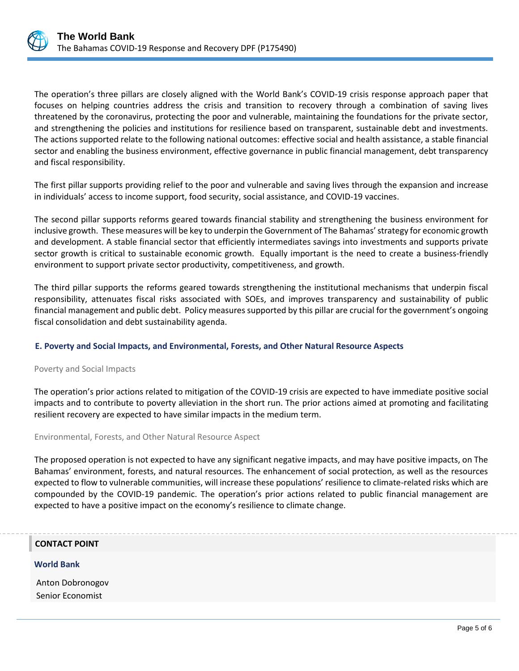

The operation's three pillars are closely aligned with the World Bank's COVID-19 crisis response approach paper that focuses on helping countries address the crisis and transition to recovery through a combination of saving lives threatened by the coronavirus, protecting the poor and vulnerable, maintaining the foundations for the private sector, and strengthening the policies and institutions for resilience based on transparent, sustainable debt and investments. The actions supported relate to the following national outcomes: effective social and health assistance, a stable financial sector and enabling the business environment, effective governance in public financial management, debt transparency and fiscal responsibility.

The first pillar supports providing relief to the poor and vulnerable and saving lives through the expansion and increase in individuals' access to income support, food security, social assistance, and COVID-19 vaccines.

The second pillar supports reforms geared towards financial stability and strengthening the business environment for inclusive growth. These measures will be key to underpin the Government of The Bahamas' strategy for economic growth and development. A stable financial sector that efficiently intermediates savings into investments and supports private sector growth is critical to sustainable economic growth. Equally important is the need to create a business-friendly environment to support private sector productivity, competitiveness, and growth.

The third pillar supports the reforms geared towards strengthening the institutional mechanisms that underpin fiscal responsibility, attenuates fiscal risks associated with SOEs, and improves transparency and sustainability of public financial management and public debt. Policy measures supported by this pillar are crucial for the government's ongoing fiscal consolidation and debt sustainability agenda.

# **E. Poverty and Social Impacts, and Environmental, Forests, and Other Natural Resource Aspects**

# Poverty and Social Impacts

The operation's prior actions related to mitigation of the COVID-19 crisis are expected to have immediate positive social impacts and to contribute to poverty alleviation in the short run. The prior actions aimed at promoting and facilitating resilient recovery are expected to have similar impacts in the medium term.

Environmental, Forests, and Other Natural Resource Aspect

The proposed operation is not expected to have any significant negative impacts, and may have positive impacts, on The Bahamas' environment, forests, and natural resources. The enhancement of social protection, as well as the resources expected to flow to vulnerable communities, will increase these populations' resilience to climate-related risks which are compounded by the COVID-19 pandemic. The operation's prior actions related to public financial management are expected to have a positive impact on the economy's resilience to climate change.

# **CONTACT POINT**

#### **World Bank**

Anton Dobronogov Senior Economist